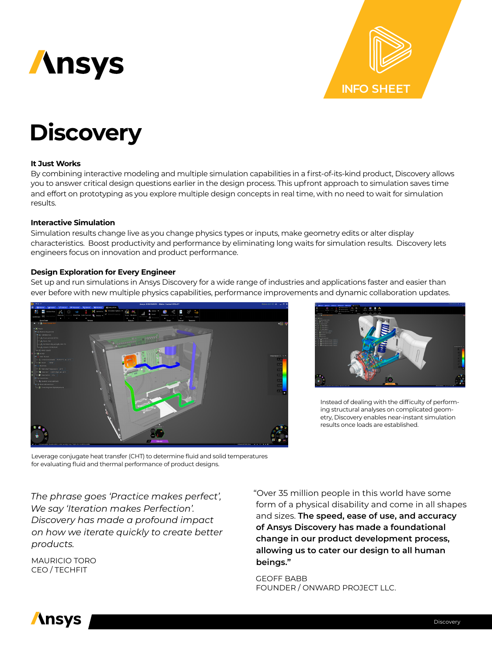



# **Discovery**

## **It Just Works**

By combining interactive modeling and multiple simulation capabilities in a first-of-its-kind product, Discovery allows you to answer critical design questions earlier in the design process. This upfront approach to simulation saves time and effort on prototyping as you explore multiple design concepts in real time, with no need to wait for simulation results.

#### **Interactive Simulation**

Simulation results change live as you change physics types or inputs, make geometry edits or alter display characteristics. Boost productivity and performance by eliminating long waits for simulation results. Discovery lets engineers focus on innovation and product performance.

#### **Design Exploration for Every Engineer**

Set up and run simulations in Ansys Discovery for a wide range of industries and applications faster and easier than ever before with new multiple physics capabilities, performance improvements and dynamic collaboration updates.





Instead of dealing with the difficulty of performing structural analyses on complicated geometry, Discovery enables near-instant simulation results once loads are established.

Leverage conjugate heat transfer (CHT) to determine fluid and solid temperatures for evaluating fluid and thermal performance of product designs.

*The phrase goes 'Practice makes perfect', We say 'Iteration makes Perfection'. Discovery has made a profound impact on how we iterate quickly to create better products.*

MAURICIO TORO CEO / TECHFIT

"Over 35 million people in this world have some form of a physical disability and come in all shapes and sizes. **The speed, ease of use, and accuracy of Ansys Discovery has made a foundational change in our product development process, allowing us to cater our design to all human beings."**

#### GEOFF BABB FOUNDER / ONWARD PROJECT LLC.